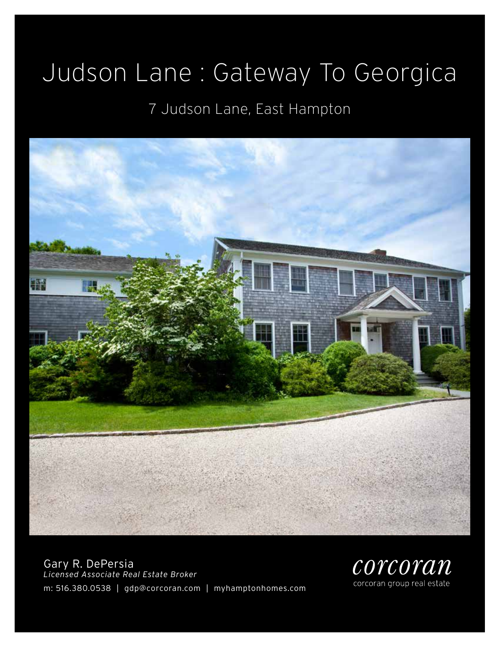# Judson Lane : Gateway To Georgica

### 7 Judson Lane, East Hampton



Gary R. DePersia *Licensed Associate Real Estate Broker* m: 516.380.0538 | gdp@corcoran.com | myhamptonhomes.com

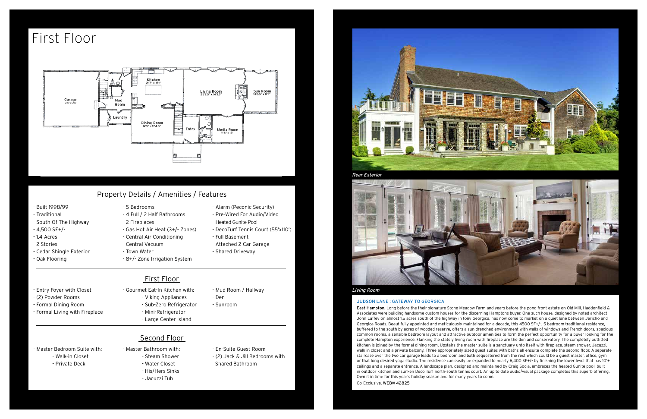#### Judson Lane : Gateway to georgica

East Hampton. Long before the their signature Stone Meadow Farm and years before the pond front estate on Old Mill, Haddonfield & Associates were building handsome custom houses for the discerning Hamptons buyer. One such house, designed by noted architect John Laffey on almost 1.5 acres south of the highway in tony Georgica, has now come to market on a quiet lane between Jericho and Georgica Roads. Beautifully appointed and meticulously maintained for a decade, this 4500 SF+/-, 5 bedroom traditional residence, buffered to the south by acres of wooded reserve, offers a sun drenched environment with walls of windows and French doors, spacious common rooms, a sensible bedroom layout and attractive outdoor amenities to form the perfect opportunity for a buyer looking for the complete Hampton experience. Flanking the stately living room with fireplace are the den and conservatory. The completely outfitted kitchen is joined by the formal dining room. Upstairs the master suite is a sanctuary unto itself with fireplace, steam shower, Jacuzzi, walk in closet and a private balcony. Three appropriately sized guest suites with baths all ensuite complete the second floor. A separate staircase over the two car garage leads to a bedroom and bath sequestered from the rest which could be a guest master, office, gym or that long desired yoga studio. The residence can easily be expanded to nearly 6,400 SF+/- by finishing the lower level that has 10'+ ceilings and a separate entrance. A landscape plan, designed and maintained by Craig Socia, embraces the heated Gunite pool, built in outdoor kitchen and sunken Deco Turf north-south tennis court. An up to date audio/visual package completes this superb offering. Own it in time for this year's holiday season and for many years to come. Co-Exclusive. WEB# 42825

- Built 1998/99
- Traditional
- South Of The Highway
- 4,500 SF+/-
- 1.4 Acres
- 2 Stories
- Cedar Shingle Exterior
- Oak Flooring

### - 5 Bedrooms

- 4 Full / 2 Half Bathrooms
- 2 Fireplaces
- Gas Hot Air Heat (3+/- Zones)
- Central Air Conditioning
- Central Vacuum
- Town Water
- 
- 
- 
- 8+/- Zone Irrigation System
- Pre-Wired For Audio/Video - Heated Gunite Pool
	- DecoTurf Tennis Court (55'x110')
	- Full Basement
		- Attached 2-Car Garage

- Alarm (Peconic Security)

- Shared Driveway

#### - Entry Foyer with Closet

- (2) Powder Rooms
- Formal Dining Room
- Formal Living with Fireplace

- Gourmet Eat-In Kitchen with:

- Viking Appliances - Sub-Zero Refrigerator - Mud Room / Hallway

- Den - Sunroom

- Master Bedroom Suite with: - Walk-in Closet - Private Deck

- Mini-Refrigerator
- Large Center Island
- Second Floor
- Master Bathroom with:
	- Steam Shower
	- Water Closet
	- His/Hers Sinks
	- Jacuzzi Tub
- En-Suite Guest Room
- (2) Jack & Jill Bedrooms with Shared Bathroom









### Property Details / Amenities / Features

First Floor

## First Floor



#### Rear Exterior



#### Living Room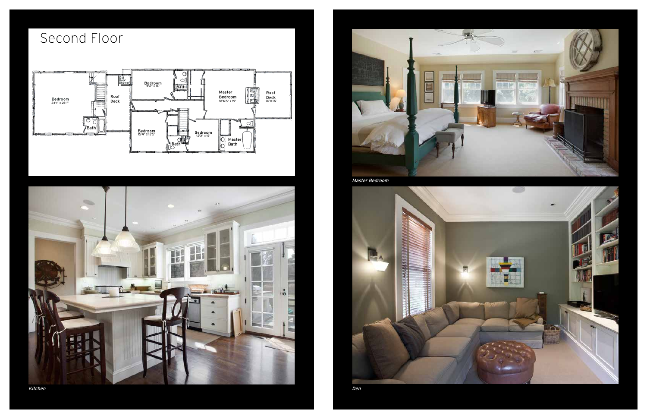## Second Floor





Kitchen



Master Bedroom



Den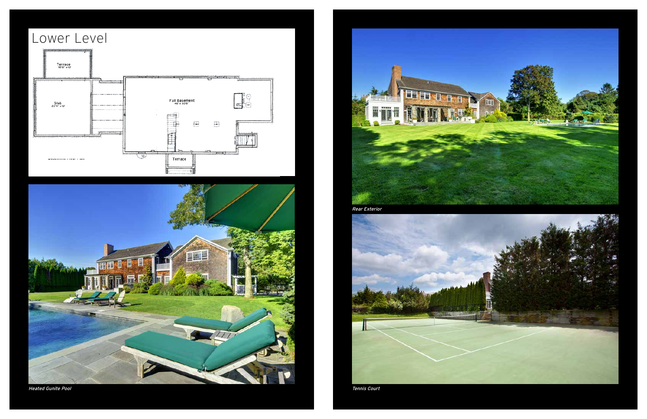



Heated Gunite Pool

![](_page_3_Picture_3.jpeg)

![](_page_3_Picture_5.jpeg)

Tennis Court